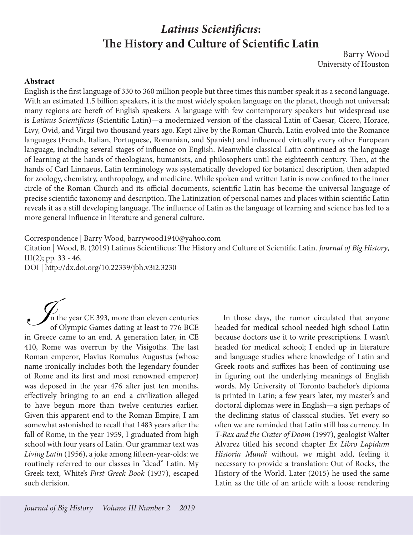## *Latinus Scientificus***: The History and Culture of Scientific Latin** Barry Wood

University of Houston

## **Abstract**

English is the first language of 330 to 360 million people but three times this number speak it as a second language. With an estimated 1.5 billion speakers, it is the most widely spoken language on the planet, though not universal; many regions are bereft of English speakers. A language with few contemporary speakers but widespread use is *Latinus Scientificus* (Scientific Latin)—a modernized version of the classical Latin of Caesar, Cicero, Horace, Livy, Ovid, and Virgil two thousand years ago. Kept alive by the Roman Church, Latin evolved into the Romance languages (French, Italian, Portuguese, Romanian, and Spanish) and influenced virtually every other European language, including several stages of influence on English. Meanwhile classical Latin continued as the language of learning at the hands of theologians, humanists, and philosophers until the eighteenth century. Then, at the hands of Carl Linnaeus, Latin terminology was systematically developed for botanical description, then adapted for zoology, chemistry, anthropology, and medicine. While spoken and written Latin is now confined to the inner circle of the Roman Church and its official documents, scientific Latin has become the universal language of precise scientific taxonomy and description. The Latinization of personal names and places within scientific Latin reveals it as a still developing language. The influence of Latin as the language of learning and science has led to a more general influence in literature and general culture.

Correspondence | Barry Wood, barrywood1940@yahoo.com

Citation | Wood, B. (2019) Latinus Scientificus: The History and Culture of Scientific Latin. *Journal of Big History*,  $III(2)$ ; pp. 33 - 46.

DOI | http://dx.doi.org/10.22339/jbh.v3i2.3230

In the year CE 393, more than eleven centuries of Olympic Games dating at least to 776 BCE in Greece came to an end. A generation later, in CE 410, Rome was overrun by the Visigoths. The last Roman emperor, Flavius Romulus Augustus (whose name ironically includes both the legendary founder of Rome and its first and most renowned emperor) was deposed in the year 476 after just ten months, effectively bringing to an end a civilization alleged to have begun more than twelve centuries earlier. Given this apparent end to the Roman Empire, I am somewhat astonished to recall that 1483 years after the fall of Rome, in the year 1959, I graduated from high school with four years of Latin. Our grammar text was *Living Latin* (1956), a joke among fifteen-year-olds: we routinely referred to our classes in "dead" Latin. My Greek text, White's *First Greek Book* (1937), escaped such derision. I

In those days, the rumor circulated that anyone headed for medical school needed high school Latin because doctors use it to write prescriptions. I wasn't headed for medical school; I ended up in literature and language studies where knowledge of Latin and Greek roots and suffixes has been of continuing use in figuring out the underlying meanings of English words. My University of Toronto bachelor's diploma is printed in Latin; a few years later, my master's and doctoral diplomas were in English—a sign perhaps of the declining status of classical studies. Yet every so often we are reminded that Latin still has currency. In *T-Rex and the Crater of Doom* (1997), geologist Walter Alvarez titled his second chapter *Ex Libro Lapidum Historia Mundi* without, we might add, feeling it necessary to provide a translation: Out of Rocks, the History of the World. Later (2015) he used the same Latin as the title of an article with a loose rendering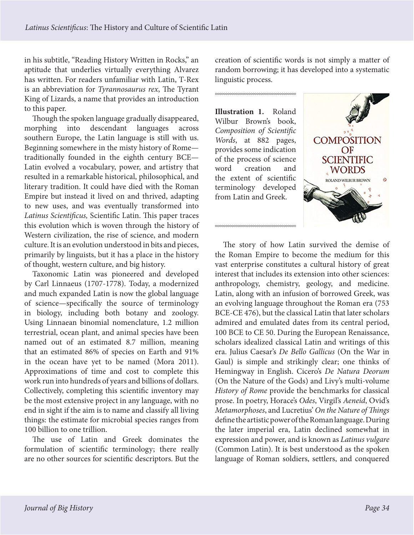in his subtitle, "Reading History Written in Rocks," an aptitude that underlies virtually everything Alvarez has written. For readers unfamiliar with Latin, T-Rex is an abbreviation for *Tyrannosaurus rex*, The Tyrant King of Lizards, a name that provides an introduction to this paper.

Though the spoken language gradually disappeared, morphing into descendant languages across southern Europe, the Latin language is still with us. Beginning somewhere in the misty history of Rome traditionally founded in the eighth century BCE— Latin evolved a vocabulary, power, and artistry that resulted in a remarkable historical, philosophical, and literary tradition. It could have died with the Roman Empire but instead it lived on and thrived, adapting to new uses, and was eventually transformed into *Latinus Scientificus,* Scientific Latin. This paper traces this evolution which is woven through the history of Western civilization, the rise of science, and modern culture. It is an evolution understood in bits and pieces, primarily by linguists, but it has a place in the history of thought, western culture, and big history.

Taxonomic Latin was pioneered and developed by Carl Linnaeus (1707-1778). Today, a modernized and much expanded Latin is now the global language of science—specifically the source of terminology in biology, including both botany and zoology. Using Linnaean binomial nomenclature, 1.2 million terrestrial, ocean plant, and animal species have been named out of an estimated 8.7 million, meaning that an estimated 86% of species on Earth and 91% in the ocean have yet to be named (Mora 2011). Approximations of time and cost to complete this work run into hundreds of years and billions of dollars. Collectively, completing this scientific inventory may be the most extensive project in any language, with no end in sight if the aim is to name and classify all living things: the estimate for microbial species ranges from 100 billion to one trillion.

The use of Latin and Greek dominates the formulation of scientific terminology; there really are no other sources for scientific descriptors. But the

creation of scientific words is not simply a matter of random borrowing; it has developed into a systematic linguistic process.

**Illustration 1.** Roland Wilbur Brown's book, *Composition of Scientific Words*, at 882 pages, provides some indication of the process of science word creation and the extent of scientific terminology developed from Latin and Greek.



The story of how Latin survived the demise of the Roman Empire to become the medium for this vast enterprise constitutes a cultural history of great interest that includes its extension into other sciences: anthropology, chemistry, geology, and medicine. Latin, along with an infusion of borrowed Greek, was an evolving language throughout the Roman era (753 BCE-CE 476), but the classical Latin that later scholars admired and emulated dates from its central period, 100 BCE to CE 50. During the European Renaissance, scholars idealized classical Latin and writings of this era. Julius Caesar's *De Bello Gallicus* (On the War in Gaul) is simple and strikingly clear; one thinks of Hemingway in English. Cicero's *De Natura Deorum* (On the Nature of the Gods) and Livy's multi-volume *History of Rome* provide the benchmarks for classical prose. In poetry, Horace's *Odes*, Virgil's *Aeneid*, Ovid's *Metamorphoses*, and Lucretius' *On the Nature of Things* define the artistic power of the Roman language. During the later imperial era, Latin declined somewhat in expression and power, and is known as *Latinus vulgare* (Common Latin). It is best understood as the spoken language of Roman soldiers, settlers, and conquered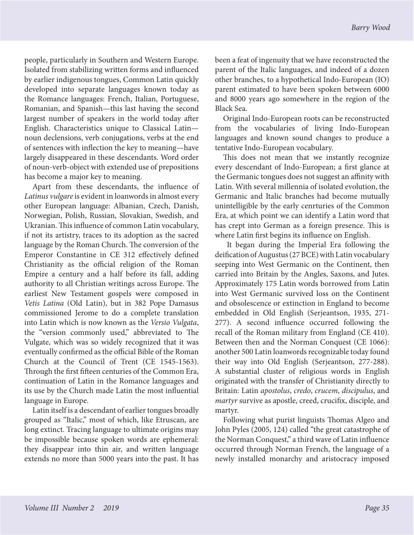people, particularly in Southern and Western Europe. Isolated from stabilizing written forms and influenced by earlier indigenous tongues, Common Latin quickly developed into separate languages known today as the Romance languages: French, Italian, Portuguese, Romanian, and Spanish—this last having the second largest number of speakers in the world today after English. Characteristics unique to Classical Latin noun declensions, verb conjugations, verbs at the end of sentences with inflection the key to meaning—have largely disappeared in these descendants. Word order of noun-verb-object with extended use of prepositions has become a major key to meaning.

Apart from these descendants, the influence of *Latinus vulgare* is evident in loanwords in almost every other European language: Albanian, Czech, Danish, Norwegian, Polish, Russian, Slovakian, Swedish, and Ukranian. This influence of common Latin vocabulary, if not its artistry, traces to its adoption as the sacred language by the Roman Church. The conversion of the Emperor Constantine in CE 312 effectively defined Christianity as the official religion of the Roman Empire a century and a half before its fall, adding authority to all Christian writings across Europe. The earliest New Testament gospels were composed in *Vetis Latina* (Old Latin), but in 382 Pope Damasus commissioned Jerome to do a complete translation into Latin which is now known as the *Versio Vulgata*, the "version commonly used," abbreviated to The Vulgate, which was so widely recognized that it was eventually confirmed as the official Bible of the Roman Church at the Council of Trent (CE 1545-1563). Through the first fifteen centuries of the Common Era, continuation of Latin in the Romance languages and its use by the Church made Latin the most influential language in Europe.

Latin itself is a descendant of earlier tongues broadly grouped as "Italic," most of which, like Etruscan, are long extinct. Tracing language to ultimate origins may be impossible because spoken words are ephemeral: they disappear into thin air, and written language extends no more than 5000 years into the past. It has been a feat of ingenuity that we have reconstructed the parent of the Italic languages, and indeed of a dozen other branches, to a hypothetical Indo-European (IO) parent estimated to have been spoken between 6000 and 8000 years ago somewhere in the region of the Black Sea.

Original Indo-European roots can be reconstructed from the vocabularies of living Indo-European languages and known sound changes to produce a tentative Indo-European vocabulary.

This does not mean that we instantly recognize every descendant of Indo-European; a first glance at the Germanic tongues does not suggest an affinity with Latin. With several millennia of isolated evolution, the Germanic and Italic branches had become mutually unintelligible by the early cenrturies of the Common Era, at which point we can identify a Latin word that has crept into German as a foreign presence. This is where Latin first begins its influence on English.

 It began during the Imperial Era following the deification of Augustus (27 BCE) with Latin vocabulary seeping into West Germanic on the Continent, then carried into Britain by the Angles, Saxons, and Jutes. Approximately 175 Latin words borrowed from Latin into West Germanic survived loss on the Continent and obsolescence or extinction in England to become embedded in Old English (Serjeantson, 1935, 271- 277). A second influence occurred following the recall of the Roman military from England (CE 410). Between then and the Norman Conquest (CE 1066): another 500 Latin loanwords recognizable today found their way into Old English (Serjeantson, 277-288). A substantial cluster of religious words in English originated with the transfer of Christianity directly to Britain: Latin *apostolus*, *credo*, *crucem*, *discipulus*, and *martyr* survive as apostle, creed, crucifix, disciple, and martyr.

Following what purist linguists Thomas Algeo and John Pyles (2005, 124) called "the great catastrophe of the Norman Conquest," a third wave of Latin influence occurred through Norman French, the language of a newly installed monarchy and aristocracy imposed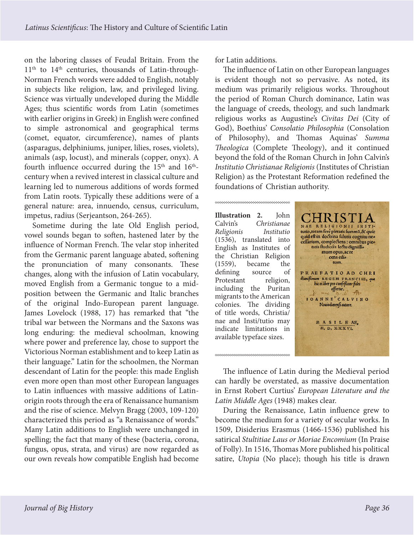on the laboring classes of Feudal Britain. From the 11<sup>th</sup> to 14<sup>th</sup> centuries, thousands of Latin-through-Norman French words were added to English, notably in subjects like religion, law, and privileged living. Science was virtually undeveloped during the Middle Ages; thus scientific words from Latin (sometimes with earlier origins in Greek) in English were confined to simple astronomical and geographical terms (comet, equator, circumference), names of plants (asparagus, delphiniums, juniper, lilies, roses, violets), animals (asp, locust), and minerals (copper, onyx). A fourth influence occurred during the  $15<sup>th</sup>$  and  $16<sup>th</sup>$ century when a revived interest in classical culture and learning led to numerous additions of words formed from Latin roots. Typically these additions were of a general nature: area, innuendo, census, curriculum, impetus, radius (Serjeantson, 264-265).

Sometime during the late Old English period, vowel sounds began to soften, hastened later by the influence of Norman French. The velar stop inherited from the Germanic parent language abated, softening the pronunciation of many consonants. These changes, along with the infusion of Latin vocabulary, moved English from a Germanic tongue to a midposition between the Germanic and Italic branches of the original Indo-European parent language. James Lovelock (1988, 17) has remarked that "the tribal war between the Normans and the Saxons was long enduring: the medieval schoolman, knowing where power and preference lay, chose to support the Victorious Norman establishment and to keep Latin as their language." Latin for the schoolmen, the Norman descendant of Latin for the people: this made English even more open than most other European languages to Latin influences with massive additions of Latinorigin roots through the era of Renaissance humanism and the rise of science. Melvyn Bragg (2003, 109-120) characterized this period as "a Renaissance of words." Many Latin additions to English were unchanged in spelling; the fact that many of these (bacteria, corona, fungus, opus, strata, and virus) are now regarded as our own reveals how compatible English had become

for Latin additions.

The influence of Latin on other European languages is evident though not so pervasive. As noted, its medium was primarily religious works. Throughout the period of Roman Church dominance, Latin was the language of creeds, theology, and such landmark religious works as Augustine's *Civitas Dei* (City of God), Boethius' *Consolatio Philosophia* (Consolation of Philosophy), and Thomas Aquinas' *Summa Theologica* (Complete Theology), and it continued beyond the fold of the Roman Church in John Calvin's *Institutio Christianae Religionis* (Institutes of Christian Religion) as the Protestant Reformation redefined the foundations of Christian authority.

**Illustration 2.** John Calvin's *Christianae Religionis Institutio* (1536), translated into English as Institutes of the Christian Religion (1559), became the defining source of Protestant religion, including the Puritan migrants to the American colonies. The dividing of title words, Christia/ nae and Insti/tutio may indicate limitations in available typeface sizes.



The influence of Latin during the Medieval period can hardly be overstated, as massive documentation in Ernst Robert Curtius' *European Literature and the Latin Middle Ages* (1948) makes clear.

During the Renaissance, Latin influence grew to become the medium for a variety of secular works. In 1509, Disiderius Erasmus (1466-1536) published his satirical *Stultitiae Laus or Moriae Encomium* (In Praise of Folly). In 1516, Thomas More published his political satire, *Utopia* (No place); though his title is drawn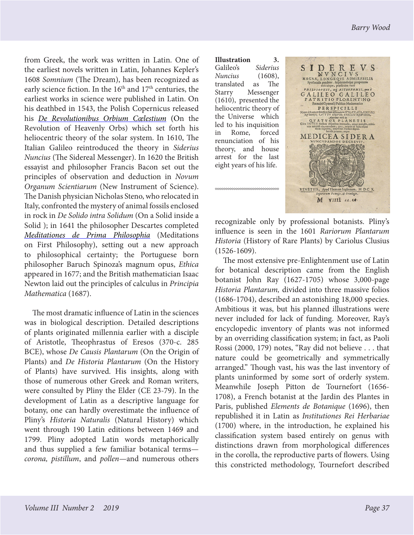from Greek, the work was written in Latin. One of the earliest novels written in Latin, Johannes Kepler's 1608 *Somnium* (The Dream), has been recognized as early science fiction. In the 16<sup>th</sup> and 17<sup>th</sup> centuries, the earliest works in science were published in Latin. On his deathbed in 1543, the Polish Copernicus released his *[De Revolutionibus Orbium Cœlestium](https://en.wikipedia.org/wiki/De_revolutionibus_orbium_coelestium)* (On the Revolution of Heavenly Orbs) which set forth his heliocentric theory of the solar system. In 1610, The Italian Galileo reintroduced the theory in *Siderius Nuncius* (The Sidereal Messenger). In 1620 the British essayist and philosopher Francis Bacon set out the principles of observation and deduction in *Novum Organum Scientiarum* (New Instrument of Science). The Danish physician Nicholas Steno, who relocated in Italy, confronted the mystery of animal fossils enclosed in rock in *De Solido intra Solidum* (On a Solid inside a Solid ); in 1641 the philosopher Descartes completed *[Meditationes de Prima Philosophia](https://en.wikipedia.org/wiki/Meditations_on_First_Philosophy)* (Meditations on First Philosophy), setting out a new approach to philosophical certainty; the Portuguese born philosopher Baruch Spinoza's magnum opus, *Ethica* appeared in 1677; and the British mathematician Isaac Newton laid out the principles of calculus in *Principia Mathematica* (1687).

The most dramatic influence of Latin in the sciences was in biological description. Detailed descriptions of plants originated millennia earlier with a disciple of Aristotle, Theophrastus of Eresos (370-c. 285 BCE), whose *De Causis Plantarum* (On the Origin of Plants) and *De Historia Plantarum* (On the History of Plants) have survived. His insights, along with those of numerous other Greek and Roman writers, were consulted by Pliny the Elder (CE 23-79). In the development of Latin as a descriptive language for botany, one can hardly overestimate the influence of Pliny's *Historia Naturalis* (Natural History) which went through 190 Latin editions between 1469 and 1799. Pliny adopted Latin words metaphorically and thus supplied a few familiar botanical terms *corona, pistillum*, and *pollen*—and numerous others

**Illustration 3.**  Galileo's *Siderius Nuncius* (1608), translated as The Starry Messenger (1610), presented the heliocentric theory of the Universe which led to his inquisition in Rome, forced renunciation of his theory, and house arrest for the last eight years of his life.



recognizable only by professional botanists. Pliny's influence is seen in the 1601 *Rariorum Plantarum Historia* (History of Rare Plants) by Cariolus Clusius (1526-1609).

The most extensive pre-Enlightenment use of Latin for botanical description came from the English botanist John Ray (1627-1705) whose 3,000-page *Historia Plantarum,* divided into three massive folios (1686-1704), described an astonishing 18,000 species. Ambitious it was, but his planned illustrations were never included for lack of funding. Moreover, Ray's encyclopedic inventory of plants was not informed by an overriding classification system; in fact, as Paoli Rossi (2000, 179) notes, "Ray did not believe . . . that nature could be geometrically and symmetrically arranged." Though vast, his was the last inventory of plants uninformed by some sort of orderly system. Meanwhile Joseph Pitton de Tournefort (1656- 1708), a French botanist at the Jardin des Plantes in Paris, published *Elements de Botanique* (1696), then republished it in Latin as *Institutiones Rei Herbariae* (1700) where, in the introduction, he explained his classification system based entirely on genus with distinctions drawn from morphological differences in the corolla, the reproductive parts of flowers. Using this constricted methodology, Tournefort described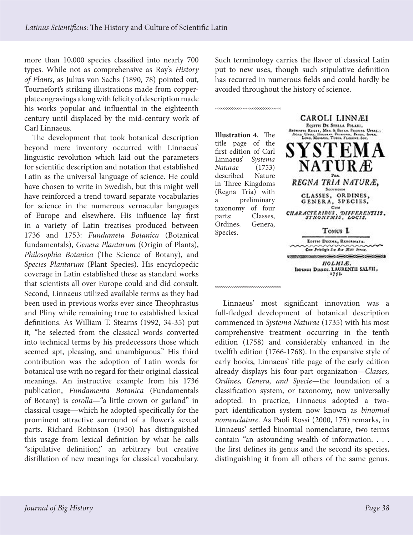more than 10,000 species classified into nearly 700 types. While not as comprehensive as Ray's *History of Plants*, as Julius von Sachs (1890, 78) pointed out, Tournefort's striking illustrations made from copperplate engravings along with felicity of description made his works popular and influential in the eighteenth century until displaced by the mid-century work of Carl Linnaeus.

The development that took botanical description beyond mere inventory occurred with Linnaeus' linguistic revolution which laid out the parameters for scientific description and notation that established Latin as the universal language of science. He could have chosen to write in Swedish, but this might well have reinforced a trend toward separate vocabularies for science in the numerous vernacular languages of Europe and elsewhere. His influence lay first in a variety of Latin treatises produced between 1736 and 1753: *Fundameta Botanica* (Botanical fundamentals), *Genera Plantarum* (Origin of Plants), *Philosophia Botanica* (The Science of Botany), and *Species Plantarum* (Plant Species). His encyclopedic coverage in Latin established these as standard works that scientists all over Europe could and did consult. Second, Linnaeus utilized available terms as they had been used in previous works ever since Theophrastus and Pliny while remaining true to established lexical definitions. As William T. Stearns (1992, 34-35) put it, "he selected from the classical words converted into technical terms by his predecessors those which seemed apt, pleasing, and unambiguous." His third contribution was the adoption of Latin words for botanical use with no regard for their original classical meanings. An instructive example from his 1736 publication, *Fundamenta Botanica* (Fundamentals of Botany) is *corolla*—"a little crown or garland" in classical usage—which he adopted specifically for the prominent attractive surround of a flower's sexual parts. Richard Robinson (1950) has distinguished this usage from lexical definition by what he calls "stipulative definition," an arbitrary but creative distillation of new meanings for classical vocabulary. Such terminology carries the flavor of classical Latin put to new uses, though such stipulative definition has recurred in numerous fields and could hardly be avoided throughout the history of science.



Linnaeus' most significant innovation was a full-fledged development of botanical description commenced in *Systema Naturae* (1735) with his most comprehensive treatment occurring in the tenth edition (1758) and considerably enhanced in the twelfth edition (1766-1768). In the expansive style of early books, Linnaeus' title page of the early edition already displays his four-part organization—*Classes, Ordines, Genera, and Specie—*the foundation of a classification system, or taxonomy, now universally adopted. In practice, Linnaeus adopted a twopart identification system now known as *binomial nomenclature*. As Paoli Rossi (2000, 175) remarks, in Linnaeus' settled binomial nomenclature, two terms contain "an astounding wealth of information. . . . the first defines its genus and the second its species, distinguishing it from all others of the same genus.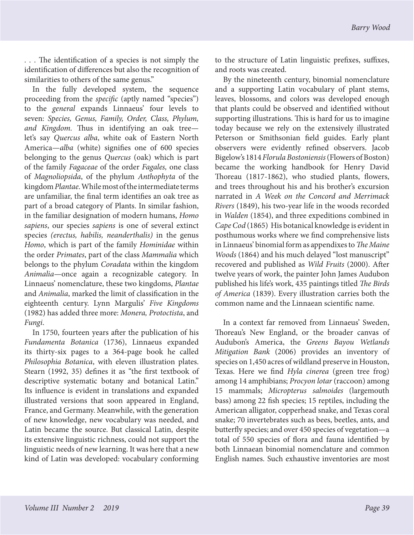. . . The identification of a species is not simply the identification of differences but also the recognition of similarities to others of the same genus."

In the fully developed system, the sequence proceeding from the *specific* (aptly named "species") to the *general* expands Linnaeus' four levels to seven: *Species, Genus, Family, Order, Class, Phylum, and Kingdom.* Thus in identifying an oak tree let's say *Quercus alba*, white oak of Eastern North America—*alba* (white) signifies one of 600 species belonging to the genus *Quercus* (oak) which is part of the family *Fagaceae* of the order *Fagales,* one class of *Magnoliopsida*, of the phylum *Anthophyta* of the kingdom *Plantae*. While most of the intermediate terms are unfamiliar, the final term identifies an oak tree as part of a broad category of Plants. In similar fashion, in the familiar designation of modern humans, *Homo sapiens*, our species *sapiens* is one of several extinct species *(erectus, habilis, neanderthalis)* in the genus *Homo*, which is part of the family *Hominidae* within the order *Primates*, part of the class *Mammalia* which belongs to the phylum *Coradata* within the kingdom *Animalia—*once again a recognizable category. In Linnaeus' nomenclature, these two kingdoms, *Plantae* and *Animalia*, marked the limit of classification in the eighteenth century. Lynn Margulis' *Five Kingdoms* (1982) has added three more: *Monera, Protoctista*, and *Fungi*.

In 1750, fourteen years after the publication of his *Fundamenta Botanica* (1736), Linnaeus expanded its thirty-six pages to a 364-page book he called *Philosophia Botanica*, with eleven illustration plates. Stearn (1992, 35) defines it as "the first textbook of descriptive systematic botany and botanical Latin." Its influence is evident in translations and expanded illustrated versions that soon appeared in England, France, and Germany. Meanwhile, with the generation of new knowledge, new vocabulary was needed, and Latin became the source. But classical Latin, despite its extensive linguistic richness, could not support the linguistic needs of new learning. It was here that a new kind of Latin was developed: vocabulary conforming to the structure of Latin linguistic prefixes, suffixes, and roots was created.

By the nineteenth century, binomial nomenclature and a supporting Latin vocabulary of plant stems, leaves, blossoms, and colors was developed enough that plants could be observed and identified without supporting illustrations. This is hard for us to imagine today because we rely on the extensively illustrated Peterson or Smithsonian field guides. Early plant observers were evidently refined observers. Jacob Bigelow's 1814 *Florula Bostoniensis* (Flowers of Boston) became the working handbook for Henry David Thoreau (1817-1862), who studied plants, flowers, and trees throughout his and his brother's excursion narrated in *A Week on the Concord and Merrimack Rivers* (1849), his two-year life in the woods recorded in *Walden* (1854), and three expeditions combined in *Cape Cod* (1865) His botanical knowledge is evident in posthumous works where we find comprehensive lists in Linnaeus' binomial form as appendixes to *The Maine Woods* (1864) and his much delayed "lost manuscript" recovered and published as *Wild Fruits* (2000). After twelve years of work, the painter John James Audubon published his life's work, 435 paintings titled *The Birds of America* (1839). Every illustration carries both the common name and the Linnaean scientific name.

In a context far removed from Linnaeus' Sweden, Thoreau's New England, or the broader canvas of Audubon's America, the *Greens Bayou Wetlands Mitigation Bank* (2006) provides an inventory of species on 1,450 acres of wildland preserve in Houston, Texas. Here we find *Hyla cinerea* (green tree frog) among 14 amphibians; *Procyon lotar* (raccoon) among 15 mammals; *Micropterus salmoides* (largemouth bass) among 22 fish species; 15 reptiles, including the American alligator, copperhead snake, and Texas coral snake; 70 invertebrates such as bees, beetles, ants, and butterfly species; and over 450 species of vegetation—a total of 550 species of flora and fauna identified by both Linnaean binomial nomenclature and common English names. Such exhaustive inventories are most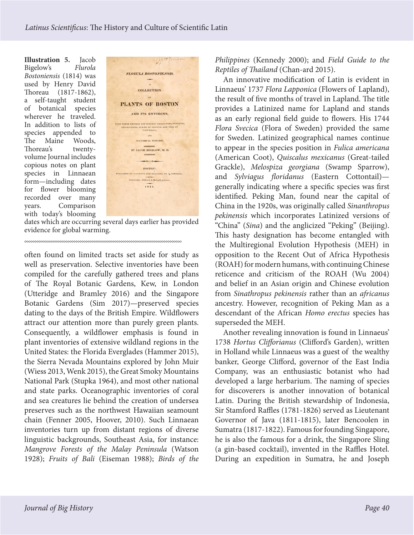**Illustration 5.** Jacob Bigelow's *Flurola Bostoniensis* (1814) was used by Henry David Thoreau (1817-1862), a self-taught student of botanical species wherever he traveled. In addition to lists of species appended to The Maine Woods, Thoreau's twentyvolume Journal includes copious notes on plant species in Linnaean form—including dates for flower blooming recorded over many years. Comparison with today's blooming



dates which are occurring several days earlier has provided evidence for global warming.

often found on limited tracts set aside for study as well as preservation. Selective inventories have been compiled for the carefully gathered trees and plans of The Royal Botanic Gardens, Kew, in London (Utteridge and Bramley 2016) and the Singapore Botanic Gardens (Sim 2017)—preserved species dating to the days of the British Empire. Wildflowers attract our attention more than purely green plants. Consequently, a wildflower emphasis is found in plant inventories of extensive wildland regions in the United States: the Florida Everglades (Hammer 2015), the Sierra Nevada Mountains explored by John Muir (Wiess 2013, Wenk 2015), the Great Smoky Mountains National Park (Stupka 1964), and most other national and state parks. Oceanographic inventories of coral and sea creatures lie behind the creation of undersea preserves such as the northwest Hawaiian seamount chain (Fenner 2005, Hoover, 2010). Such Linnaean inventories turn up from distant regions of diverse linguistic backgrounds, Southeast Asia, for instance: *Mangrove Forests of the Malay Peninsula* (Watson 1928); *Fruits of Bali* (Eiseman 1988); *Birds of the*  *Philippines* (Kennedy 2000); and *Field Guide to the Reptiles of Thailand* (Chan-ard 2015).

An innovative modification of Latin is evident in Linnaeus' 1737 *Flora Lapponica* (Flowers of Lapland), the result of five months of travel in Lapland. The title provides a Latinized name for Lapland and stands as an early regional field guide to flowers. His 1744 *Flora Svecica* (Flora of Sweden) provided the same for Sweden. Latinized geographical names continue to appear in the species position in *Fulica americana* (American Coot), *Quiscalus mexicanus* (Great-tailed Grackle), *Melospiza georgiana* (Swamp Sparrow), and *Sylviagus floridanus* (Eastern Cottontail) generally indicating where a specific species was first identified. Peking Man, found near the capital of China in the 1920s, was originally called *Sinanthropus pekinensis* which incorporates Latinized versions of "China" (*Sina*) and the anglicized "Peking" (Beijing). This hasty designation has become entangled with the Multiregional Evolution Hypothesis (MEH) in opposition to the Recent Out of Africa Hypothesis (ROAH) for modern humans, with continuing Chinese reticence and criticism of the ROAH (Wu 2004) and belief in an Asian origin and Chinese evolution from *Sinathropus pekinensis* rather than an *africanus* ancestry. However, recognition of Peking Man as a descendant of the African *Homo erectus* species has superseded the MEH.

Another revealing innovation is found in Linnaeus' 1738 *Hortus Clifforianus* (Clifford's Garden), written in Holland while Linnaeus was a guest of the wealthy banker, George Clifford, governor of the East India Company, was an enthusiastic botanist who had developed a large herbarium. The naming of species for discoverers is another innovation of botanical Latin. During the British stewardship of Indonesia, Sir Stamford Raffles (1781-1826) served as Lieutenant Governor of Java (1811-1815), later Bencoolen in Sumatra (1817-1822). Famous for founding Singapore, he is also the famous for a drink, the Singapore Sling (a gin-based cocktail), invented in the Raffles Hotel. During an expedition in Sumatra, he and Joseph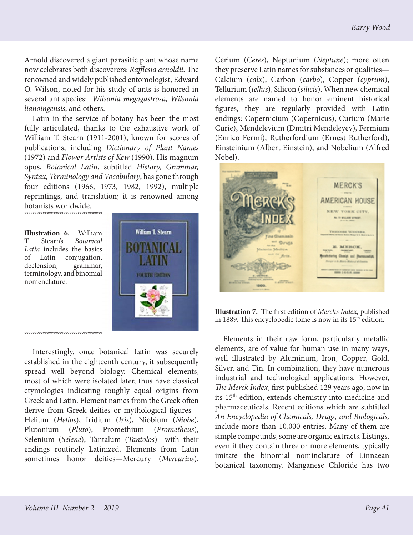Arnold discovered a giant parasitic plant whose name now celebrates both discoverers: *Rafflesia arnoldii*. The renowned and widely published entomologist, Edward O. Wilson, noted for his study of ants is honored in several ant species: *Wilsonia megagastrosa, Wilsonia lianoingensis*, and others.

Latin in the service of botany has been the most fully articulated, thanks to the exhaustive work of William T. Stearn (1911-2001), known for scores of publications, including *Dictionary of Plant Names* (1972) and *Flower Artists of Kew* (1990). His magnum opus, *Botanical Latin*, subtitled *History, Grammar, Syntax, Terminology and Vocabulary*, has gone through four editions (1966, 1973, 1982, 1992), multiple reprintings, and translation; it is renowned among botanists worldwide.

**Illustration 6.** William T. Stearn's *Botanical Latin* includes the basics of Latin conjugation, declension, grammar, terminology, and binomial nomenclature.



Interestingly, once botanical Latin was securely established in the eighteenth century, it subsequently spread well beyond biology. Chemical elements, most of which were isolated later, thus have classical etymologies indicating roughly equal origins from Greek and Latin. Element names from the Greek often derive from Greek deities or mythological figures— Helium (*Helios*), Iridium (*Iris*), Niobium (*Niobe*), Plutonium (*Pluto*), Promethium (*Prometheus*), Selenium (*Selene*), Tantalum (*Tantolos*)—with their endings routinely Latinized. Elements from Latin sometimes honor deities—Mercury (*Mercurius*),

Cerium (*Ceres*), Neptunium (*Neptune*); more often they preserve Latin names for substances or qualities— Calcium (*calx*), Carbon (*carbo*), Copper (*cyprum*), Tellurium (*tellus*), Silicon (*silicis*). When new chemical elements are named to honor eminent historical figures, they are regularly provided with Latin endings: Copernicium (Copernicus), Curium (Marie Curie), Mendelevium (Dmitri Mendeleyev), Fermium (Enrico Fermi), Rutherfordium (Ernest Rutherford), Einsteinium (Albert Einstein), and Nobelium (Alfred Nobel).



**Illustration 7.** The first edition of *Merck's Index*, published in 1889. This encyclopedic tome is now in its  $15<sup>th</sup>$  edition.

Elements in their raw form, particularly metallic elements, are of value for human use in many ways, well illustrated by Aluminum, Iron, Copper, Gold, Silver, and Tin. In combination, they have numerous industrial and technological applications. However, *The Merck Index*, first published 129 years ago, now in its 15th edition, extends chemistry into medicine and pharmaceuticals. Recent editions which are subtitled *An Encyclopedia of Chemicals, Drugs, and Biologicals,* include more than 10,000 entries. Many of them are simple compounds, some are organic extracts. Listings, even if they contain three or more elements, typically imitate the binomial nominclature of Linnaean botanical taxonomy. Manganese Chloride has two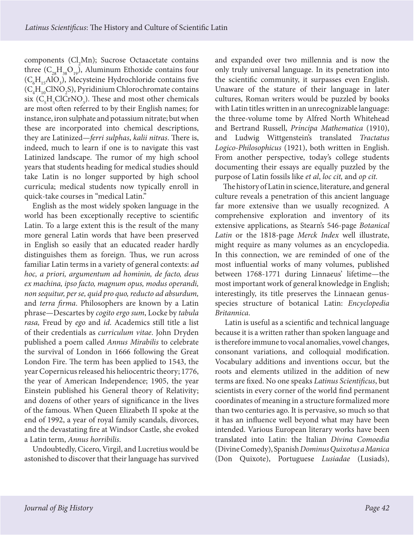$components (Cl<sub>2</sub>Mn); Success Octaacetate contains$ three  $(C_{28}H_{38}O_{19})$ , Aluminum Ethoxide contains four  $(C_6H_{15}AlO_3)$ , Mecysteine Hydrochloride contains five  $(C_4H_{10}CINO_2S)$ , Pyridinium Chlorochromate contains six  $(C_{\xi}H_{\xi}ClCrNO_{3})$ . These and most other chemicals are most often referred to by their English names; for instance, iron sulphate and potassium nitrate; but when these are incorporated into chemical descriptions, they are Latinized—*ferri sulphas*, *kalii nitras*. There is, indeed, much to learn if one is to navigate this vast Latinized landscape. The rumor of my high school years that students heading for medical studies should take Latin is no longer supported by high school curricula; medical students now typically enroll in quick-take courses in "medical Latin."

English as the most widely spoken language in the world has been exceptionally receptive to scientific Latin. To a large extent this is the result of the many more general Latin words that have been preserved in English so easily that an educated reader hardly distinguishes them as foreign. Thus, we run across familiar Latin terms in a variety of general contexts: *ad hoc, a priori, argumentum ad hominin, de facto, deus ex machina, ipso facto, magnum opus, modus operandi, non sequitur, per se, quid pro quo, reducto ad absurdum,*  and *terra firma*. Philosophers are known by a Latin phrase—Descartes by *cogito ergo sum*, Locke by *tabula rasa,* Freud by *ego* and *id*. Academics still title a list of their credentials as *curriculum vitae*. John Dryden published a poem called *Annus Mirabilis* to celebrate the survival of London in 1666 following the Great London Fire. The term has been applied to 1543, the year Copernicus released his heliocentric theory; 1776, the year of American Independence; 1905, the year Einstein published his General theory of Relativity; and dozens of other years of significance in the lives of the famous. When Queen Elizabeth II spoke at the end of 1992, a year of royal family scandals, divorces, and the devastating fire at Windsor Castle, she evoked a Latin term, *Annus horribilis*.

Undoubtedly, Cicero, Virgil, and Lucretius would be astonished to discover that their language has survived and expanded over two millennia and is now the only truly universal language. In its penetration into the scientific community, it surpasses even English. Unaware of the stature of their language in later cultures, Roman writers would be puzzled by books with Latin titles written in an unrecognizable language: the three-volume tome by Alfred North Whitehead and Bertrand Russell, *Principa Mathematica* (1910), and Ludwig Wittgenstein's translated *Tractatus Logico-Philosophicus* (1921), both written in English. From another perspective, today's college students documenting their essays are equally puzzled by the purpose of Latin fossils like *et al*, *loc cit,* and *op cit.*

The history of Latin in science, literature, and general culture reveals a penetration of this ancient language far more extensive than we usually recognized. A comprehensive exploration and inventory of its extensive applications, as Stearn's 546-page *Botanical Latin* or the 1818-page *Merck Index* well illustrate, might require as many volumes as an encyclopedia. In this connection, we are reminded of one of the most influential works of many volumes, published between 1768-1771 during Linnaeus' lifetime—the most important work of general knowledge in English; interestingly, its title preserves the Linnaean genusspecies structure of botanical Latin: *Encyclopedia Britannica*.

 Latin is useful as a scientific and technical language because it is a written rather than spoken language and is therefore immune to vocal anomalies, vowel changes, consonant variations, and colloquial modification. Vocabulary additions and inventions occur, but the roots and elements utilized in the addition of new terms are fixed. No one speaks *Latinus Scientificus*, but scientists in every corner of the world find permanent coordinates of meaning in a structure formalized more than two centuries ago. It is pervasive, so much so that it has an influence well beyond what may have been intended. Various European literary works have been translated into Latin: the Italian *Divina Comoedia* (Divine Comedy), Spanish *Dominus Quixotus a Manica* (Don Quixote), Portuguese *Lusiadae* (Lusiads),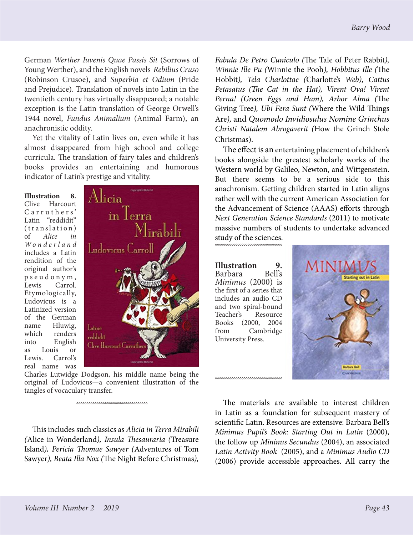German *Werther Iuvenis Quae Passis Sit* (Sorrows of Young Werther), and the English novels *Rebilius Cruso* (Robinson Crusoe), and *Superbia et Odium* (Pride and Prejudice). Translation of novels into Latin in the twentieth century has virtually disappeared; a notable exception is the Latin translation of George Orwell's 1944 novel, *Fundus Animalium* (Animal Farm), an anachronistic oddity.

Yet the vitality of Latin lives on, even while it has almost disappeared from high school and college curricula. The translation of fairy tales and children's books provides an entertaining and humorous indicator of Latin's prestige and vitality.

**Illustration 8.**  Clive Harcourt Carruthers' Latin "reddidit"  $(translation)$ of *Alice in W o n d e r l a n d*  includes a Latin rendition of the original author's p s e u d o n y m , Lewis Carrol. Etymologically, Ludovicus is a Latinized version of the German name Hluwig,<br>which renders renders into English as Louis or Lewis. Carrol's real name was



Charles Lutwidge Dodgson, his middle name being the original of Ludovicus—a convenient illustration of the tangles of vocaculary transfer.

This includes such classics as *Alicia in Terra Mirabili (*Alice in Wonderland*), Insula Thesauraria (*Treasure Island*), Pericia Thomae Sawyer (*Adventures of Tom Sawyer*), Beata Illa Nox (*The Night Before Christmas*),* 

*Fabula De Petro Cuniculo (*The Tale of Peter Rabbit*), Winnie Ille Pu (*Winnie the Pooh*), Hobbitus Ille (*The Hobbit*), Tela Charlottae (*Charlotte's *Web), Cattus Petasatus (The Cat in the Hat), Virent Ova! Virent Perna! (Green Eggs and Ham), Arbor Alma (*The Giving Tree*), Ubi Fera Sunt (*Where the Wild Things Are*),* and *Quomodo Invidiosulus Nomine Grinchus Christi Natalem Abrogaverit (*How the Grinch Stole Christmas).

The effect is an entertaining placement of children's books alongside the greatest scholarly works of the Western world by Galileo, Newton, and Wittgenstein. But there seems to be a serious side to this anachronism. Getting children started in Latin aligns rather well with the current American Association for the Advancement of Science (AAAS) efforts through *Next Generation Science Standards* (2011) to motivate massive numbers of students to undertake advanced

study of the sciences.

**Illustration 9.**  Barbara *Minimus* (2000) is the first of a series that includes an audio CD and two spiral-bound Teacher's Resource Books (2000, 2004 from Cambridge University Press.

\*\*\*\*\*\*\*\*\*\*\*\*\*\*\*\*\*\*\*\*\*\*\*\*\*\*\*



The materials are available to interest children in Latin as a foundation for subsequent mastery of scientific Latin. Resources are extensive: Barbara Bell's *Minimus Pupil's Book: Starting Out in Latin* (2000), the follow up *Mininus Secundus* (2004), an associated *Latin Activity Book* (2005), and a *Minimus Audio CD* (2006) provide accessible approaches. All carry the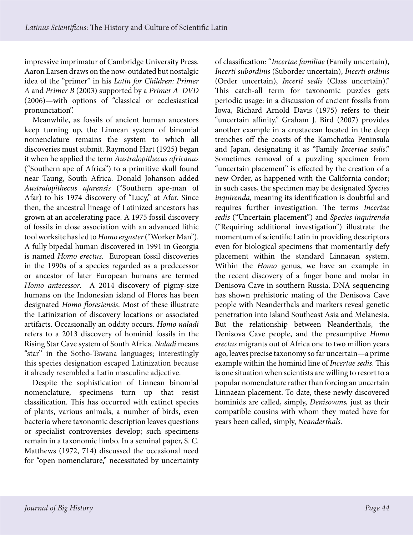impressive imprimatur of Cambridge University Press. Aaron Larsen draws on the now-outdated but nostalgic idea of the "primer" in his *Latin for Children: Primer A* and *Primer B* (2003) supported by a *Primer A DVD*  (2006)—with options of "classical or ecclesiastical pronunciation".

Meanwhile, as fossils of ancient human ancestors keep turning up, the Linnean system of binomial nomenclature remains the system to which all discoveries must submit. Raymond Hart (1925) began it when he applied the term *Australopithecus africanus* ("Southern ape of Africa") to a primitive skull found near Taung, South Africa. Donald Johanson added *Australopithecus afarensis* ("Southern ape-man of Afar) to his 1974 discovery of "Lucy," at Afar. Since then, the ancestral lineage of Latinized ancestors has grown at an accelerating pace. A 1975 fossil discovery of fossils in close association with an advanced lithic tool worksite has led to *Homo ergaster* ("Worker Man"). A fully bipedal human discovered in 1991 in Georgia is named *Homo erectus.* European fossil discoveries in the 1990s of a species regarded as a predecessor or ancestor of later European humans are termed *Homo antecessor*. A 2014 discovery of pigmy-size humans on the Indonesian island of Flores has been designated *Homo floresiensis*. Most of these illustrate the Latinization of discovery locations or associated artifacts. Occasionally an oddity occurs. *Homo naladi* refers to a 2013 discovery of hominid fossils in the Rising Star Cave system of South Africa. *Naladi* means "star" in the Sotho-Tswana languages; interestingly this species designation escaped Latinization because it already resembled a Latin masculine adjective.

Despite the sophistication of Linnean binomial nomenclature, specimens turn up that resist classification. This has occurred with extinct species of plants, various animals, a number of birds, even bacteria where taxonomic description leaves questions or specialist controversies develop; such specimens remain in a taxonomic limbo. In a seminal paper, S. C. Matthews (1972, 714) discussed the occasional need for "open nomenclature," necessitated by uncertainty

of classification: "*Incertae familiae* (Family uncertain), *Incerti subordinis* (Suborder uncertain), *Incerti ordinis* (Order uncertain), *Incerti sedis* (Class uncertain)." This catch-all term for taxonomic puzzles gets periodic usage: in a discussion of ancient fossils from Iowa, Richard Arnold Davis (1975) refers to their "uncertain affinity." Graham J. Bird (2007) provides another example in a crustacean located in the deep trenches off the coasts of the Kamchatka Peninsula and Japan, designating it as "Family *Incertae sedis*." Sometimes removal of a puzzling specimen from "uncertain placement" is effected by the creation of a new Order, as happened with the California condor; in such cases, the specimen may be designated *Species inquirenda*, meaning its identification is doubtful and requires further investigation. The terms *Incertae sedis* ("Uncertain placement") and *Species inquirenda* ("Requiring additional investigation") illustrate the momentum of scientific Latin in providing descriptors even for biological specimens that momentarily defy placement within the standard Linnaean system. Within the *Homo* genus, we have an example in the recent discovery of a finger bone and molar in Denisova Cave in southern Russia. DNA sequencing has shown prehistoric mating of the Denisova Cave people with Neanderthals and markers reveal genetic penetration into Island Southeast Asia and Melanesia. But the relationship between Neanderthals, the Denisova Cave people, and the presumptive *Homo erectus* migrants out of Africa one to two million years ago, leaves precise taxonomy so far uncertain—a prime example within the hominid line of *Incertae sedis*. This is one situation when scientists are willing to resort to a popular nomenclature rather than forcing an uncertain Linnaean placement. To date, these newly discovered hominids are called, simply, *Denisovans,* just as their compatible cousins with whom they mated have for years been called, simply, *Neanderthals*.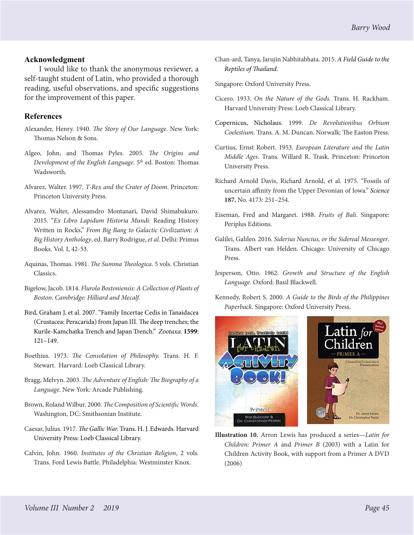## **Acknowledgment**

I would like to thank the anonymous reviewer, a self-taught student of Latin, who provided a thorough reading, useful observations, and specific suggestions for the improvement of this paper.

## **References**

- Alexander, Henry. 1940. *The Story of Our Language*. New York: Thomas Nelson & Sons.
- Algeo, John, and Thomas Pyles. 2005. *The Origins and Development of the English Language*. 5<sup>th</sup> ed. Boston: Thomas Wadsworth.
- Alvarez, Walter. 1997. *T-Rex and the Crater of Doom*. Princeton: Princeton University Press.
- Alvarez, Walter, Alessamdro Montanari, David Shimabukuro. 2015. "*Ex Libro Lapidum Historia Mundi:* Reading History Written in Rocks," *From Big Bang to Galactic Civilization: A Big History Anthology*, ed. Barry Rodrigue, *et al*. Delhi: Primus Books. Vol. I, 42-53.
- Aquinas, Thomas. 1981. *The Summa Theologica*. 5 vols. Christian Classics.
- Bigelow, Jacob. 1814. *Flurola Bostoniensis: A Collection of Plants of Boston. Cambridge: Hilliard and Mecalf.*
- Bird, Graham J. et al. 2007. ["Family Incertae Cedis in Tanaidacea](http://www.mapress.com/zootaxa/2007f/zt01599p149.pdf)  [\(Crustacea: Peracarida\) from Japan III. The deep trenches; the](http://www.mapress.com/zootaxa/2007f/zt01599p149.pdf)  [Kurile-Kamchatka Trench and Japan Trench."](http://www.mapress.com/zootaxa/2007f/zt01599p149.pdf) *[Zootaxa](https://en.wikipedia.org/wiki/Zootaxa)*. **1599**: 121–149.
- Boethius. 1973. *The Consolation of Philosophy.* Trans. H. F. Stewart.Harvard: Loeb Classical Library.
- Bragg, Melvyn. 2003. *The Adventure of English: The Biography of a Language*. New York: Arcade Publishing.
- Brown, Roland Wilbur. 2000. *The Composition of Scientific Words*. Washington, DC: Smithsonian Institute.
- Caesar, Julius. 1917. *The Gallic War.* [Trans. H. J. Edwards. Harvard](https://www.amazon.com/Caesar-Gallic-Loeb-Classical-Library/dp/0674990803/ref=sr_1_14?s=books&ie=UTF8&qid=1534291454&sr=1-14&keywords=caesar%27s+commentaries+on+the+gallic+wars) [University Press: Loeb Classical Library.](https://www.amazon.com/Caesar-Gallic-Loeb-Classical-Library/dp/0674990803/ref=sr_1_14?s=books&ie=UTF8&qid=1534291454&sr=1-14&keywords=caesar%27s+commentaries+on+the+gallic+wars)
- Calvin, John. 1960. *Institutes of the Christian Religion*, 2 vols. Trans. Ford Lewis Battle. Philadelphia: Westminster Knox.
- Chan-ard, Tanya, Jarujin Nabhitabhata. 2015. *[A Field Guide to the](https://www.amazon.com/Field-Guide-Reptiles-Thailand/dp/0199736502/ref=sr_1_1?s=books&ie=UTF8&qid=1534297289&sr=1-1&keywords=Field+Guide+to+the+REptiles+of+Thailand)  [Reptiles of Thailand.](https://www.amazon.com/Field-Guide-Reptiles-Thailand/dp/0199736502/ref=sr_1_1?s=books&ie=UTF8&qid=1534297289&sr=1-1&keywords=Field+Guide+to+the+REptiles+of+Thailand)*
- Singapore: Oxford University Press.
- Cicero. 1933. *On the Nature of the Gods*. Trans. H. Rackham. Harvard University Press: Loeb Classical Library.
- Copernicus, Nicholaus. 1999. *De Revolutionibus Orbium Coelestium*. Trans. A. M. Duncan. Norwalk: The Easton Press.
- Curtius, Ernst Robert. 1953. *European Literature and the Latin Middle Ages*. Trans. Willard R. Trask. Princeton: Princeton University Press.
- Richard Arnold Davis, Richard Arnold, et al. 1975. "Fossils of uncertain affinity from the Upper Devonian of Iowa." *[Science](https://en.wikipedia.org/wiki/Science_(journal))* **187**, No. 4173: 251–254.
- Eiseman, Fred and Margaret. 1988. *Fruits of Bali*. Singapore: Periplus Editions.
- Galilei, Galileo. 2016. *Siderius Nuncius, or the Sidereal Messenger*. Trans. Albert van Helden. Chicago: University of Chicago Press.
- Jesperson, Otto. 1962. *Growth and Structure of the English Language*. Oxford: Basil Blackwell.
- Kennedy, Robert S. 2000. *A Guide to the Birds of the Philippines Paperback*. Singapore: Oxford University Press.



**Illustration 10.** Arron Lewis has produced a series—*Latin for Children: Primer A* and *Primer B* (2003) with a Latin for Children Activity Book, with support from a Primer A DVD (2006)